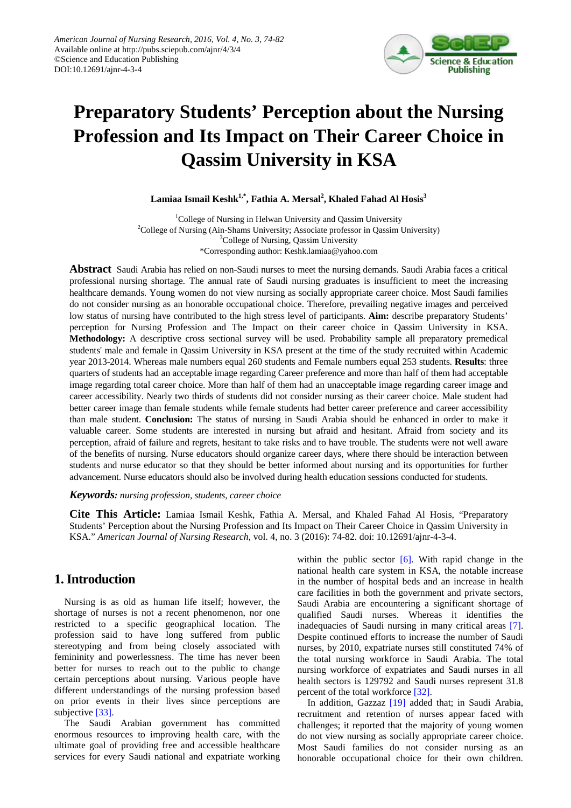

# **Preparatory Students' Perception about the Nursing Profession and Its Impact on Their Career Choice in Qassim University in KSA**

**Lamiaa Ismail Keshk1,\*, Fathia A. Mersal2 , Khaled Fahad Al Hosis3**

<sup>1</sup>College of Nursing in Helwan University and Qassim University <sup>2</sup>College of Nursing (Ain-Shams University; Associate professor in Qassim University) <sup>3</sup>College of Nursing, Qassim University \*Corresponding author: Keshk.lamiaa@yahoo.com

**Abstract** Saudi Arabia has relied on non-Saudi nurses to meet the nursing demands. Saudi Arabia faces a critical professional nursing shortage. The annual rate of Saudi nursing graduates is insufficient to meet the increasing healthcare demands. Young women do not view nursing as socially appropriate career choice. Most Saudi families do not consider nursing as an honorable occupational choice. Therefore, prevailing negative images and perceived low status of nursing have contributed to the high stress level of participants. **Aim:** describe preparatory Students' perception for Nursing Profession and The Impact on their career choice in Qassim University in KSA. **Methodology:** A descriptive cross sectional survey will be used. Probability sample all preparatory premedical students' male and female in Qassim University in KSA present at the time of the study recruited within Academic year 2013-2014. Whereas male numbers equal 260 students and Female numbers equal 253 students. **Results**: three quarters of students had an acceptable image regarding Career preference and more than half of them had acceptable image regarding total career choice. More than half of them had an unacceptable image regarding career image and career accessibility. Nearly two thirds of students did not consider nursing as their career choice. Male student had better career image than female students while female students had better career preference and career accessibility than male student. **Conclusion:** The status of nursing in Saudi Arabia should be enhanced in order to make it valuable career. Some students are interested in nursing but afraid and hesitant. Afraid from society and its perception, afraid of failure and regrets, hesitant to take risks and to have trouble. The students were not well aware of the benefits of nursing. Nurse educators should organize career days, where there should be interaction between students and nurse educator so that they should be better informed about nursing and its opportunities for further advancement. Nurse educators should also be involved during health education sessions conducted for students.

#### *Keywords: nursing profession, students, career choice*

**Cite This Article:** Lamiaa Ismail Keshk, Fathia A. Mersal, and Khaled Fahad Al Hosis, "Preparatory Students' Perception about the Nursing Profession and Its Impact on Their Career Choice in Qassim University in KSA." *American Journal of Nursing Research*, vol. 4, no. 3 (2016): 74-82. doi: 10.12691/ajnr-4-3-4.

# **1. Introduction**

Nursing is as old as human life itself; however, the shortage of nurses is not a recent phenomenon, nor one restricted to a specific geographical location. The profession said to have long suffered from public stereotyping and from being closely associated with femininity and powerlessness. The time has never been better for nurses to reach out to the public to change certain perceptions about nursing. Various people have different understandings of the nursing profession based on prior events in their lives since perceptions are subjective [\[33\].](#page-8-0)

The Saudi Arabian government has committed enormous resources to improving health care, with the ultimate goal of providing free and accessible healthcare services for every Saudi national and expatriate working

within the public sector [\[6\].](#page-7-0) With rapid change in the national health care system in KSA, the notable increase in the number of hospital beds and an increase in health care facilities in both the government and private sectors, Saudi Arabia are encountering a significant shortage of qualified Saudi nurses. Whereas it identifies the inadequacies of Saudi nursing in many critical areas [\[7\].](#page-7-1) Despite continued efforts to increase the number of Saudi nurses, by 2010, expatriate nurses still constituted 74% of the total nursing workforce in Saudi Arabia. The total nursing workforce of expatriates and Saudi nurses in all health sectors is 129792 and Saudi nurses represent 31.8 percent of the total workforce [\[32\].](#page-8-1)

In addition, Gazzaz <a>[\[19\]](#page-7-2)</a> added that; in Saudi Arabia, recruitment and retention of nurses appear faced with challenges; it reported that the majority of young women do not view nursing as socially appropriate career choice. Most Saudi families do not consider nursing as an honorable occupational choice for their own children.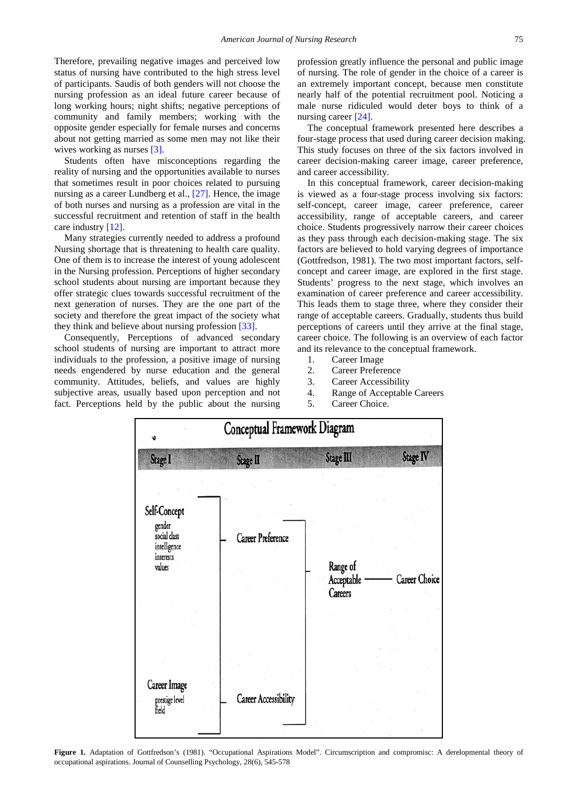Therefore, prevailing negative images and perceived low status of nursing have contributed to the high stress level of participants. Saudis of both genders will not choose the nursing profession as an ideal future career because of long working hours; night shifts; negative perceptions of community and family members; working with the opposite gender especially for female nurses and concerns about not getting married as some men may not like their wives working as nurses [\[3\].](#page-7-3)

Students often have misconceptions regarding the reality of nursing and the opportunities available to nurses that sometimes result in poor choices related to pursuing nursing as a career Lundberg et al., [\[27\].](#page-8-2) Hence, the image of both nurses and nursing as a profession are vital in the successful recruitment and retention of staff in the health care industry [\[12\].](#page-7-4)

Many strategies currently needed to address a profound Nursing shortage that is threatening to health care quality. One of them is to increase the interest of young adolescent in the Nursing profession. Perceptions of higher secondary school students about nursing are important because they offer strategic clues towards successful recruitment of the next generation of nurses. They are the one part of the society and therefore the great impact of the society what they think and believe about nursing profession [\[33\].](#page-8-0)

Consequently, Perceptions of advanced secondary school students of nursing are important to attract more individuals to the profession, a positive image of nursing needs engendered by nurse education and the general community. Attitudes, beliefs, and values are highly subjective areas, usually based upon perception and not fact. Perceptions held by the public about the nursing profession greatly influence the personal and public image of nursing. The role of gender in the choice of a career is an extremely important concept, because men constitute nearly half of the potential recruitment pool. Noticing a male nurse ridiculed would deter boys to think of a nursing career [\[24\].](#page-8-3)

The conceptual framework presented here describes a four-stage process that used during career decision making. This study focuses on three of the six factors involved in career decision-making career image, career preference, and career accessibility.

In this conceptual framework, career decision-making is viewed as a four-stage process involving six factors: self-concept, career image, career preference, career accessibility, range of acceptable careers, and career choice. Students progressively narrow their career choices as they pass through each decision-making stage. The six factors are believed to hold varying degrees of importance (Gottfredson, 1981). The two most important factors, selfconcept and career image, are explored in the first stage. Students' progress to the next stage, which involves an examination of career preference and career accessibility. This leads them to stage three, where they consider their range of acceptable careers. Gradually, students thus build perceptions of careers until they arrive at the final stage, career choice. The following is an overview of each factor and its relevance to the conceptual framework.

- 1. Career Image
- 2. Career Preference
- 3. Career Accessibility
- 4. Range of Acceptable Careers
- 5. Career Choice.



Figure 1. Adaptation of Gottfredson's (1981). "Occupational Aspirations Model". Circumscription and compromisc: A derelopmental theory of occupational aspirations. Journal of Counselling Psychology, 28(6), 545-578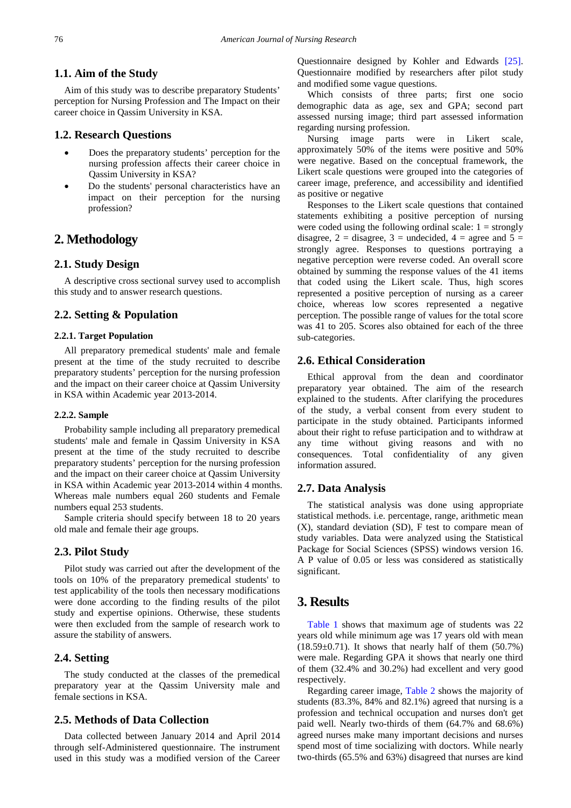#### **1.1. Aim of the Study**

Aim of this study was to describe preparatory Students' perception for Nursing Profession and The Impact on their career choice in Qassim University in KSA.

#### **1.2. Research Questions**

- Does the preparatory students' perception for the nursing profession affects their career choice in Qassim University in KSA?
- Do the students' personal characteristics have an impact on their perception for the nursing profession?

# **2. Methodology**

#### **2.1. Study Design**

A descriptive cross sectional survey used to accomplish this study and to answer research questions.

#### **2.2. Setting & Population**

#### **2.2.1. Target Population**

All preparatory premedical students' male and female present at the time of the study recruited to describe preparatory students' perception for the nursing profession and the impact on their career choice at Qassim University in KSA within Academic year 2013-2014.

#### **2.2.2. Sample**

Probability sample including all preparatory premedical students' male and female in Qassim University in KSA present at the time of the study recruited to describe preparatory students' perception for the nursing profession and the impact on their career choice at Qassim University in KSA within Academic year 2013-2014 within 4 months. Whereas male numbers equal 260 students and Female numbers equal 253 students.

Sample criteria should specify between 18 to 20 years old male and female their age groups.

#### **2.3. Pilot Study**

Pilot study was carried out after the development of the tools on 10% of the preparatory premedical students' to test applicability of the tools then necessary modifications were done according to the finding results of the pilot study and expertise opinions. Otherwise, these students were then excluded from the sample of research work to assure the stability of answers.

#### **2.4. Setting**

The study conducted at the classes of the premedical preparatory year at the Qassim University male and female sections in KSA.

## **2.5. Methods of Data Collection**

Data collected between January 2014 and April 2014 through self-Administered questionnaire. The instrument used in this study was a modified version of the Career Questionnaire designed by Kohler and Edwards [\[25\].](#page-8-4) Questionnaire modified by researchers after pilot study and modified some vague questions.

Which consists of three parts; first one socio demographic data as age, sex and GPA; second part assessed nursing image; third part assessed information regarding nursing profession.

Nursing image parts were in Likert scale, approximately 50% of the items were positive and 50% were negative. Based on the conceptual framework, the Likert scale questions were grouped into the categories of career image, preference, and accessibility and identified as positive or negative

Responses to the Likert scale questions that contained statements exhibiting a positive perception of nursing were coded using the following ordinal scale:  $1 =$  strongly disagree,  $2 =$  disagree,  $3 =$  undecided,  $4 =$  agree and  $5 =$ strongly agree. Responses to questions portraying a negative perception were reverse coded. An overall score obtained by summing the response values of the 41 items that coded using the Likert scale. Thus, high scores represented a positive perception of nursing as a career choice, whereas low scores represented a negative perception. The possible range of values for the total score was 41 to 205. Scores also obtained for each of the three sub-categories.

#### **2.6. Ethical Consideration**

Ethical approval from the dean and coordinator preparatory year obtained. The aim of the research explained to the students. After clarifying the procedures of the study, a verbal consent from every student to participate in the study obtained. Participants informed about their right to refuse participation and to withdraw at any time without giving reasons and with no consequences. Total confidentiality of any given information assured.

#### **2.7. Data Analysis**

The statistical analysis was done using appropriate statistical methods. i.e. percentage, range, arithmetic mean (X), standard deviation (SD), F test to compare mean of study variables. Data were analyzed using the Statistical Package for Social Sciences (SPSS) windows version 16. A P value of 0.05 or less was considered as statistically significant.

## **3. Results**

[Table 1](#page-3-0) shows that maximum age of students was 22 years old while minimum age was 17 years old with mean  $(18.59\pm0.71)$ . It shows that nearly half of them  $(50.7\%)$ were male. Regarding GPA it shows that nearly one third of them (32.4% and 30.2%) had excellent and very good respectively.

Regarding career image, [Table 2](#page-3-1) shows the majority of students (83.3%, 84% and 82.1%) agreed that nursing is a profession and technical occupation and nurses don't get paid well. Nearly two-thirds of them (64.7% and 68.6%) agreed nurses make many important decisions and nurses spend most of time socializing with doctors. While nearly two-thirds (65.5% and 63%) disagreed that nurses are kind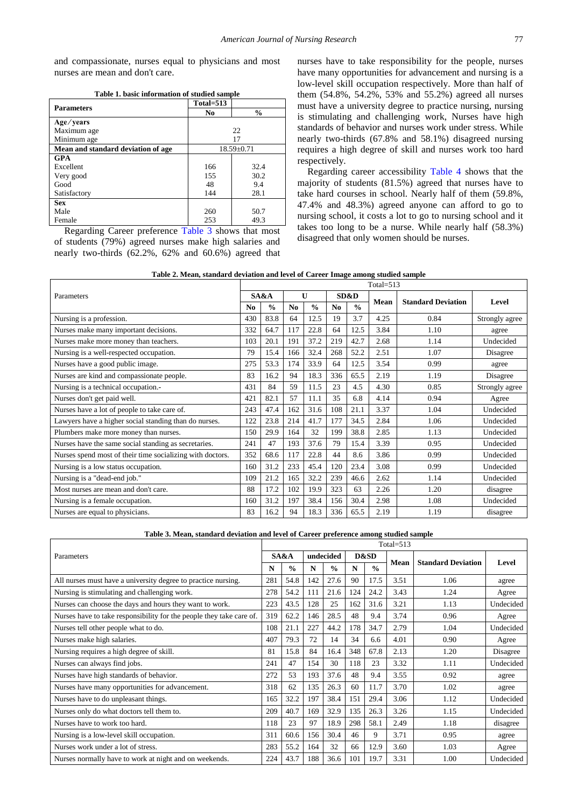and compassionate, nurses equal to physicians and most nurses are mean and don't care.

| Table 1. basic information of studied sample |
|----------------------------------------------|
|----------------------------------------------|

<span id="page-3-0"></span>

| <b>Parameters</b>                  | Total=513 |                  |
|------------------------------------|-----------|------------------|
|                                    | No        | $\frac{0}{0}$    |
| Age/years                          |           |                  |
| Maximum age                        |           | 22               |
| Minimum age                        |           | 17               |
| Mean and standard deviation of age |           | $18.59 \pm 0.71$ |
| <b>GPA</b>                         |           |                  |
| Excellent                          | 166       | 32.4             |
| Very good                          | 155       | 30.2             |
| Good                               | 48        | 9.4              |
| Satisfactory                       | 144       | 28.1             |
| <b>Sex</b>                         |           |                  |
| Male                               | 260       | 50.7             |
| Female                             | 253       | 49.3             |

Regarding Career preference [Table 3](#page-3-2) shows that most of students (79%) agreed nurses make high salaries and nearly two-thirds (62.2%, 62% and 60.6%) agreed that nurses have to take responsibility for the people, nurses have many opportunities for advancement and nursing is a low-level skill occupation respectively. More than half of them (54.8%, 54.2%, 53% and 55.2%) agreed all nurses must have a university degree to practice nursing, nursing is stimulating and challenging work, Nurses have high standards of behavior and nurses work under stress. While nearly two-thirds (67.8% and 58.1%) disagreed nursing requires a high degree of skill and nurses work too hard respectively.

Regarding career accessibility [Table 4](#page-4-0) shows that the majority of students (81.5%) agreed that nurses have to take hard courses in school. Nearly half of them (59.8%, 47.4% and 48.3%) agreed anyone can afford to go to nursing school, it costs a lot to go to nursing school and it takes too long to be a nurse. While nearly half (58.3%) disagreed that only women should be nurses.

| Table 2. Mean, standard deviation and level of Career Image among studied sample |
|----------------------------------------------------------------------------------|
|----------------------------------------------------------------------------------|

<span id="page-3-1"></span>

|                                                           | $Total = 513$  |               |                |               |                |               |      |                           |                |
|-----------------------------------------------------------|----------------|---------------|----------------|---------------|----------------|---------------|------|---------------------------|----------------|
| Parameters                                                |                | SA&A          |                | $\mathbf{U}$  |                | SD&D          |      | <b>Standard Deviation</b> | Level          |
|                                                           | N <sub>0</sub> | $\frac{0}{0}$ | N <sub>0</sub> | $\frac{0}{0}$ | N <sub>0</sub> | $\frac{0}{0}$ | Mean |                           |                |
| Nursing is a profession.                                  | 430            | 83.8          | 64             | 12.5          | 19             | 3.7           | 4.25 | 0.84                      | Strongly agree |
| Nurses make many important decisions.                     | 332            | 64.7          | 117            | 22.8          | 64             | 12.5          | 3.84 | 1.10                      | agree          |
| Nurses make more money than teachers.                     | 103            | 20.1          | 191            | 37.2          | 219            | 42.7          | 2.68 | 1.14                      | Undecided      |
| Nursing is a well-respected occupation.                   | 79             | 15.4          | 166            | 32.4          | 268            | 52.2          | 2.51 | 1.07                      | Disagree       |
| Nurses have a good public image.                          | 275            | 53.3          | 174            | 33.9          | 64             | 12.5          | 3.54 | 0.99                      | agree          |
| Nurses are kind and compassionate people.                 | 83             | 16.2          | 94             | 18.3          | 336            | 65.5          | 2.19 | 1.19                      | Disagree       |
| Nursing is a technical occupation.-                       | 431            | 84            | 59             | 11.5          | 23             | 4.5           | 4.30 | 0.85                      | Strongly agree |
| Nurses don't get paid well.                               | 421            | 82.1          | 57             | 11.1          | 35             | 6.8           | 4.14 | 0.94                      | Agree          |
| Nurses have a lot of people to take care of.              | 243            | 47.4          | 162            | 31.6          | 108            | 21.1          | 3.37 | 1.04                      | Undecided      |
| Lawyers have a higher social standing than do nurses.     | 122            | 23.8          | 214            | 41.7          | 177            | 34.5          | 2.84 | 1.06                      | Undecided      |
| Plumbers make more money than nurses.                     | 150            | 29.9          | 164            | 32            | 199            | 38.8          | 2.85 | 1.13                      | Undecided      |
| Nurses have the same social standing as secretaries.      | 241            | 47            | 193            | 37.6          | 79             | 15.4          | 3.39 | 0.95                      | Undecided      |
| Nurses spend most of their time socializing with doctors. | 352            | 68.6          | 117            | 22.8          | 44             | 8.6           | 3.86 | 0.99                      | Undecided      |
| Nursing is a low status occupation.                       | 160            | 31.2          | 233            | 45.4          | 120            | 23.4          | 3.08 | 0.99                      | Undecided      |
| Nursing is a "dead-end job."                              | 109            | 21.2          | 165            | 32.2          | 239            | 46.6          | 2.62 | 1.14                      | Undecided      |
| Most nurses are mean and don't care.                      | 88             | 17.2          | 102            | 19.9          | 323            | 63            | 2.26 | 1.20                      | disagree       |
| Nursing is a female occupation.                           | 160            | 31.2          | 197            | 38.4          | 156            | 30.4          | 2.98 | 1.08                      | Undecided      |
| Nurses are equal to physicians.                           | 83             | 16.2          | 94             | 18.3          | 336            | 65.5          | 2.19 | 1.19                      | disagree       |

| Table 3. Mean, standard deviation and level of Career preference among studied sample |  |  |
|---------------------------------------------------------------------------------------|--|--|
|---------------------------------------------------------------------------------------|--|--|

<span id="page-3-2"></span>

|                                                                      | Total= $513$ |               |     |               |      |               |      |                           |           |
|----------------------------------------------------------------------|--------------|---------------|-----|---------------|------|---------------|------|---------------------------|-----------|
| Parameters                                                           |              | SA&A          |     | undecided     | D&SD |               | Mean | <b>Standard Deviation</b> | Level     |
|                                                                      |              | $\frac{0}{0}$ | N   | $\frac{0}{0}$ | N    | $\frac{0}{0}$ |      |                           |           |
| All nurses must have a university degree to practice nursing.        | 281          | 54.8          | 142 | 27.6          | 90   | 17.5          | 3.51 | 1.06                      | agree     |
| Nursing is stimulating and challenging work.                         | 278          | 54.2          | 111 | 21.6          | 124  | 24.2          | 3.43 | 1.24                      | Agree     |
| Nurses can choose the days and hours they want to work.              | 223          | 43.5          | 128 | 25            | 162  | 31.6          | 3.21 | 1.13                      | Undecided |
| Nurses have to take responsibility for the people they take care of. | 319          | 62.2          | 146 | 28.5          | 48   | 9.4           | 3.74 | 0.96                      | Agree     |
| Nurses tell other people what to do.                                 | 108          | 21.1          | 227 | 44.2          | 178  | 34.7          | 2.79 | 1.04                      | Undecided |
| Nurses make high salaries.                                           | 407          | 79.3          | 72  | 14            | 34   | 6.6           | 4.01 | 0.90                      | Agree     |
| Nursing requires a high degree of skill.                             | 81           | 15.8          | 84  | 16.4          | 348  | 67.8          | 2.13 | 1.20                      | Disagree  |
| Nurses can always find jobs.                                         | 241          | 47            | 154 | 30            | 118  | 23            | 3.32 | 1.11                      | Undecided |
| Nurses have high standards of behavior.                              | 272          | 53            | 193 | 37.6          | 48   | 9.4           | 3.55 | 0.92                      | agree     |
| Nurses have many opportunities for advancement.                      | 318          | 62            | 135 | 26.3          | 60   | 11.7          | 3.70 | 1.02                      | agree     |
| Nurses have to do unpleasant things.                                 | 165          | 32.2          | 197 | 38.4          | 151  | 29.4          | 3.06 | 1.12                      | Undecided |
| Nurses only do what doctors tell them to.                            | 209          | 40.7          | 169 | 32.9          | 135  | 26.3          | 3.26 | 1.15                      | Undecided |
| Nurses have to work too hard.                                        | 118          | 23            | 97  | 18.9          | 298  | 58.1          | 2.49 | 1.18                      | disagree  |
| Nursing is a low-level skill occupation.                             | 311          | 60.6          | 156 | 30.4          | 46   | 9             | 3.71 | 0.95                      | agree     |
| Nurses work under a lot of stress.                                   | 283          | 55.2          | 164 | 32            | 66   | 12.9          | 3.60 | 1.03                      | Agree     |
| Nurses normally have to work at night and on weekends.               | 224          | 43.7          | 188 | 36.6          | 101  | 19.7          | 3.31 | 1.00                      | Undecided |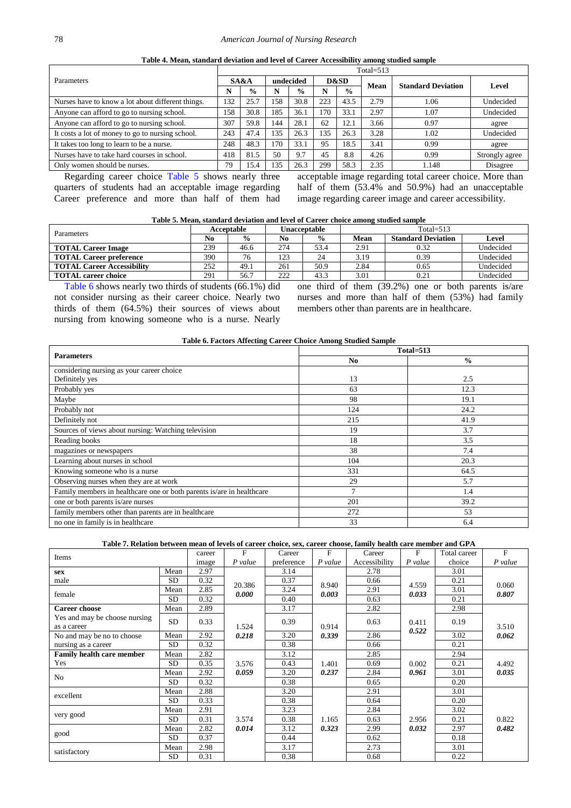| Table 4. Mean, standard deviation and level of Career Accessibility among studied sample |  |
|------------------------------------------------------------------------------------------|--|
|------------------------------------------------------------------------------------------|--|

<span id="page-4-0"></span>

| Total= $513$ |               |           |               |      |               |      |       |                           |  |  |
|--------------|---------------|-----------|---------------|------|---------------|------|-------|---------------------------|--|--|
| SA&A         |               | undecided |               | D&SD |               |      |       |                           |  |  |
| N            | $\frac{6}{9}$ |           | $\frac{6}{9}$ | N    | $\frac{6}{9}$ |      |       | Level                     |  |  |
| 132          | 25.7          | 158       | 30.8          | 223  | 43.5          | 2.79 | 1.06  | Undecided                 |  |  |
| 158          | 30.8          | 185       | 36.1          | 170  | 33.1          | 2.97 | 1.07  | Undecided                 |  |  |
| 307          | 59.8          | 144       | 28.1          | 62   | 12.1          | 3.66 | 0.97  | agree                     |  |  |
| 243          | 47.4          | 135       | 26.3          | 35   | 26.3          | 3.28 | 1.02  | Undecided                 |  |  |
| 248          | 48.3          | 170       | 33.1          | 95   | 18.5          | 3.41 | 0.99  | agree                     |  |  |
| 418          | 81.5          | 50        | 9.7           | 45   | 8.8           | 4.26 | 0.99  | Strongly agree            |  |  |
| 79           | 15.4          | 135       | 26.3          | 299  | 58.3          | 2.35 | 1.148 | Disagree                  |  |  |
|              |               |           |               |      |               |      | Mean  | <b>Standard Deviation</b> |  |  |

Regarding career choice [Table 5](#page-4-1) shows nearly three quarters of students had an acceptable image regarding Career preference and more than half of them had

acceptable image regarding total career choice. More than half of them (53.4% and 50.9%) had an unacceptable image regarding career image and career accessibility.

| Table 5. Mean, standard deviation and level of Career choice among studied sample |
|-----------------------------------------------------------------------------------|
|-----------------------------------------------------------------------------------|

<span id="page-4-1"></span>

| <b>Parameters</b>                     | Acceptable |               |      | Unacceptable              | $Total = 513$ |      |           |  |
|---------------------------------------|------------|---------------|------|---------------------------|---------------|------|-----------|--|
| $\frac{0}{0}$<br>No<br>N <sub>0</sub> |            | $\frac{6}{9}$ | Mean | <b>Standard Deviation</b> | <b>Level</b>  |      |           |  |
| <b>TOTAL Career Image</b>             | 239        | 46.6          | 274  | 53.4                      | 2.91          | 0.32 | Undecided |  |
| <b>TOTAL Career preference</b>        | 390        | 76            | 123  | 24                        | 3.19          | 0.39 | Undecided |  |
| <b>TOTAL Career Accessibility</b>     | 252        | 49.1          | 261  | 50.9                      | 2.84          | 0.65 | Undecided |  |
| <b>TOTAL career choice</b>            | 291        | 56.7          | 222  | 43.3                      | 3.01          | 0.21 | Undecided |  |

[Table 6](#page-4-2) shows nearly two thirds of students (66.1%) did not consider nursing as their career choice. Nearly two thirds of them (64.5%) their sources of views about nursing from knowing someone who is a nurse. Nearly one third of them (39.2%) one or both parents is/are nurses and more than half of them (53%) had family members other than parents are in healthcare.

<span id="page-4-2"></span>

|                                                                       | $Total = 513$ |               |  |  |  |  |
|-----------------------------------------------------------------------|---------------|---------------|--|--|--|--|
| <b>Parameters</b>                                                     | No.           | $\frac{0}{0}$ |  |  |  |  |
| considering nursing as your career choice                             |               |               |  |  |  |  |
| Definitely yes                                                        | 13            | 2.5           |  |  |  |  |
| Probably yes                                                          | 63            | 12.3          |  |  |  |  |
| Maybe                                                                 | 98            | 19.1          |  |  |  |  |
| Probably not                                                          | 124           | 24.2          |  |  |  |  |
| Definitely not                                                        | 215           | 41.9          |  |  |  |  |
| Sources of views about nursing: Watching television                   | 19            | 3.7           |  |  |  |  |
| Reading books                                                         | 18            | 3.5           |  |  |  |  |
| magazines or newspapers                                               | 38            | 7.4           |  |  |  |  |
| Learning about nurses in school                                       | 104           | 20.3          |  |  |  |  |
| Knowing someone who is a nurse                                        | 331           | 64.5          |  |  |  |  |
| Observing nurses when they are at work                                | 29            | 5.7           |  |  |  |  |
| Family members in healthcare one or both parents is/are in healthcare |               | 1.4           |  |  |  |  |
| one or both parents is/are nurses                                     | 201           | 39.2          |  |  |  |  |
| family members other than parents are in healthcare                   | 272           | 53            |  |  |  |  |
| no one in family is in healthcare                                     | 33            | 6.4           |  |  |  |  |

#### **Table 7. Relation between mean of levels of career choice, sex, career choose, family health care member and GPA**

<span id="page-4-3"></span>

| Items                                        |           | career | $\mathbf{F}$   | Career     | F              | Career        | F              | Total career | F              |
|----------------------------------------------|-----------|--------|----------------|------------|----------------|---------------|----------------|--------------|----------------|
|                                              |           | image  | P value        | preference | P value        | Accessibility | $P$ value      | choice       | P value        |
| sex                                          | Mean      | 2.97   |                | 3.14       |                | 2.78          |                | 3.01         |                |
| male                                         | <b>SD</b> | 0.32   | 20.386         | 0.37       | 8.940          | 0.66          | 4.559          | 0.21         | 0.060          |
| female                                       | Mean      | 2.85   | 0.000          | 3.24       | 0.003          | 2.91          | 0.033          | 3.01         | 0.807          |
|                                              | <b>SD</b> | 0.32   |                | 0.40       |                | 0.63          |                | 0.21         |                |
| <b>Career choose</b>                         | Mean      | 2.89   |                | 3.17       |                | 2.82          |                | 2.98         |                |
| Yes and may be choose nursing<br>as a career | SD        | 0.33   | 1.524<br>0.218 | 0.39       | 0.914<br>0.339 | 0.63          | 0.411<br>0.522 | 0.19         | 3.510<br>0.062 |
| No and may be no to choose                   | Mean      | 2.92   |                | 3.20       |                | 2.86          |                | 3.02         |                |
| nursing as a career                          | SD        | 0.32   |                | 0.38       |                | 0.66          |                | 0.21         |                |
| <b>Family health care member</b>             | Mean      | 2.82   | 3.576<br>0.059 | 3.12       | 1.401<br>0.237 | 2.85          | 0.002<br>0.961 | 2.94         | 4.492<br>0.035 |
| Yes                                          | SD.       | 0.35   |                | 0.43       |                | 0.69          |                | 0.21         |                |
| No                                           | Mean      | 2.92   |                | 3.20       |                | 2.84          |                | 3.01         |                |
|                                              | <b>SD</b> | 0.32   |                | 0.38       |                | 0.65          |                | 0.20         |                |
| excellent                                    | Mean      | 2.88   | 3.574          | 3.20       | 1.165          | 2.91          | 2.956          | 3.01         | 0.822          |
|                                              | <b>SD</b> | 0.33   |                | 0.38       |                | 0.64          |                | 0.20         |                |
| very good                                    | Mean      | 2.91   |                | 3.23       |                | 2.84          |                | 3.02         |                |
|                                              | <b>SD</b> | 0.31   |                | 0.38       |                | 0.63          |                | 0.21         |                |
| good                                         | Mean      | 2.82   | 0.014          | 3.12       | 0.323          | 2.99          | 0.032          | 2.97         | 0.482          |
|                                              | <b>SD</b> | 0.37   |                | 0.44       |                | 0.62          |                | 0.18         |                |
| satisfactory                                 | Mean      | 2.98   |                | 3.17       |                | 2.73          |                | 3.01         |                |
|                                              | SD        | 0.31   |                | 0.38       |                | 0.68          |                | 0.22         |                |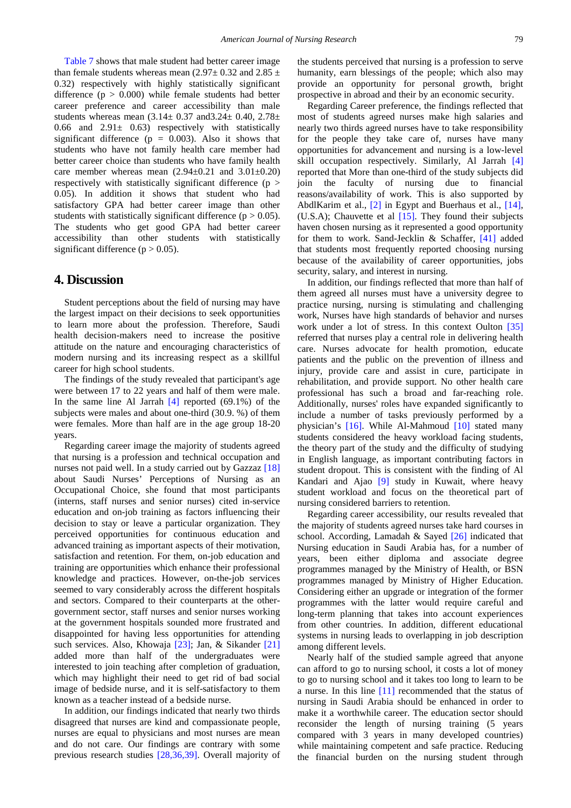[Table 7](#page-4-3) shows that male student had better career image than female students whereas mean (2.97 $\pm$  0.32 and 2.85  $\pm$ 0.32) respectively with highly statistically significant difference  $(p > 0.000)$  while female students had better career preference and career accessibility than male students whereas mean  $(3.14 \pm 0.37 \text{ and} 3.24 \pm 0.40, 2.78 \pm 1.0)$ 0.66 and  $2.91 \pm 0.63$  respectively with statistically significant difference ( $p = 0.003$ ). Also it shows that students who have not family health care member had better career choice than students who have family health care member whereas mean  $(2.94\pm0.21$  and  $3.01\pm0.20)$ respectively with statistically significant difference (p > 0.05). In addition it shows that student who had satisfactory GPA had better career image than other students with statistically significant difference ( $p > 0.05$ ). The students who get good GPA had better career accessibility than other students with statistically significant difference ( $p > 0.05$ ).

## **4. Discussion**

Student perceptions about the field of nursing may have the largest impact on their decisions to seek opportunities to learn more about the profession. Therefore, Saudi health decision-makers need to increase the positive attitude on the nature and encouraging characteristics of modern nursing and its increasing respect as a skillful career for high school students.

The findings of the study revealed that participant's age were between 17 to 22 years and half of them were male. In the same line Al Jarrah  $[4]$  reported (69.1%) of the subjects were males and about one-third (30.9. %) of them were females. More than half are in the age group 18-20 years.

Regarding career image the majority of students agreed that nursing is a profession and technical occupation and nurses not paid well. In a study carried out by Gazzaz [\[18\]](#page-7-6) about Saudi Nurses' Perceptions of Nursing as an Occupational Choice, she found that most participants (interns, staff nurses and senior nurses) cited in-service education and on-job training as factors influencing their decision to stay or leave a particular organization. They perceived opportunities for continuous education and advanced training as important aspects of their motivation, satisfaction and retention. For them, on-job education and training are opportunities which enhance their professional knowledge and practices. However, on-the-job services seemed to vary considerably across the different hospitals and sectors. Compared to their counterparts at the othergovernment sector, staff nurses and senior nurses working at the government hospitals sounded more frustrated and disappointed for having less opportunities for attending such services. Also, Khowaja [\[23\];](#page-7-7) Jan, & Sikander [\[21\]](#page-7-8) added more than half of the undergraduates were interested to join teaching after completion of graduation, which may highlight their need to get rid of bad social image of bedside nurse, and it is self-satisfactory to them known as a teacher instead of a bedside nurse.

In addition, our findings indicated that nearly two thirds disagreed that nurses are kind and compassionate people, nurses are equal to physicians and most nurses are mean and do not care. Our findings are contrary with some previous research studies [\[28,36,39\].](#page-8-5) Overall majority of the students perceived that nursing is a profession to serve humanity, earn blessings of the people; which also may provide an opportunity for personal growth, bright prospective in abroad and their by an economic security.

Regarding Career preference, the findings reflected that most of students agreed nurses make high salaries and nearly two thirds agreed nurses have to take responsibility for the people they take care of, nurses have many opportunities for advancement and nursing is a low-level skill occupation respectively. Similarly, Al Jarrah [\[4\]](#page-7-5) reported that More than one-third of the study subjects did join the faculty of nursing due to financial reasons/availability of work. This is also supported by AbdlKarim et al., [\[2\]](#page-7-9) in Egypt and Buerhaus et al., [\[14\],](#page-7-10) (U.S.A); Chauvette et al  $[15]$ . They found their subjects haven chosen nursing as it represented a good opportunity for them to work. Sand-Jecklin & Schaffer, [\[41\]](#page-8-6) added that students most frequently reported choosing nursing because of the availability of career opportunities, jobs security, salary, and interest in nursing.

In addition, our findings reflected that more than half of them agreed all nurses must have a university degree to practice nursing, nursing is stimulating and challenging work, Nurses have high standards of behavior and nurses work under a lot of stress. In this context Oulton [\[35\]](#page-8-7) referred that nurses play a central role in delivering health care. Nurses advocate for health promotion, educate patients and the public on the prevention of illness and injury, provide care and assist in cure, participate in rehabilitation, and provide support. No other health care professional has such a broad and far-reaching role. Additionally, nurses' roles have expanded significantly to include a number of tasks previously performed by a physician's [\[16\].](#page-7-12) While Al-Mahmoud [\[10\]](#page-7-13) stated many students considered the heavy workload facing students, the theory part of the study and the difficulty of studying in English language, as important contributing factors in student dropout. This is consistent with the finding of Al Kandari and Ajao [\[9\]](#page-7-14) study in Kuwait, where heavy student workload and focus on the theoretical part of nursing considered barriers to retention.

Regarding career accessibility, our results revealed that the majority of students agreed nurses take hard courses in school. According, Lamadah & Sayed [\[26\]](#page-8-8) indicated that Nursing education in Saudi Arabia has, for a number of years, been either diploma and associate degree programmes managed by the Ministry of Health, or BSN programmes managed by Ministry of Higher Education. Considering either an upgrade or integration of the former programmes with the latter would require careful and long-term planning that takes into account experiences from other countries. In addition, different educational systems in nursing leads to overlapping in job description among different levels.

Nearly half of the studied sample agreed that anyone can afford to go to nursing school, it costs a lot of money to go to nursing school and it takes too long to learn to be a nurse. In this line [\[11\]](#page-7-15) recommended that the status of nursing in Saudi Arabia should be enhanced in order to make it a worthwhile career. The education sector should reconsider the length of nursing training (5 years compared with 3 years in many developed countries) while maintaining competent and safe practice. Reducing the financial burden on the nursing student through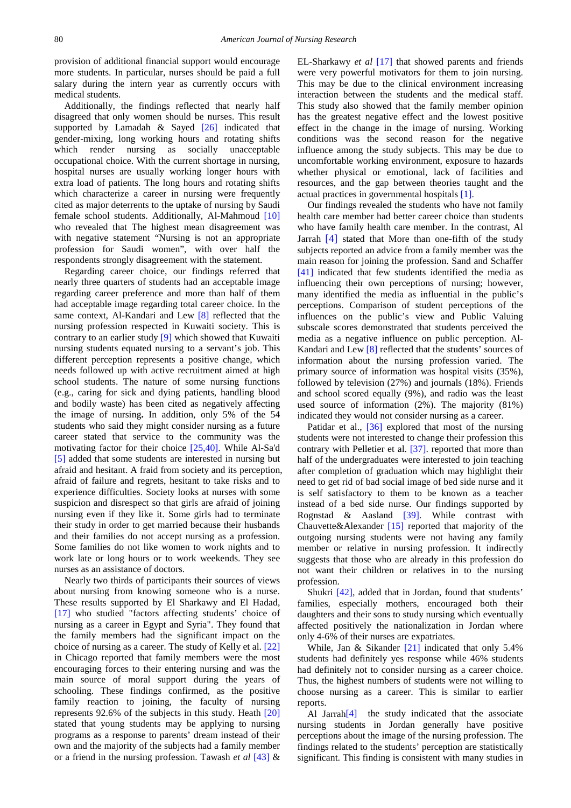provision of additional financial support would encourage more students. In particular, nurses should be paid a full salary during the intern year as currently occurs with medical students.

Additionally, the findings reflected that nearly half disagreed that only women should be nurses. This result supported by Lamadah & Sayed  $[26]$  indicated that gender-mixing, long working hours and rotating shifts which render nursing as socially unacceptable occupational choice. With the current shortage in nursing, hospital nurses are usually working longer hours with extra load of patients. The long hours and rotating shifts which characterize a career in nursing were frequently cited as major deterrents to the uptake of nursing by Saudi female school students. Additionally, Al-Mahmoud [\[10\]](#page-7-13) who revealed that The highest mean disagreement was with negative statement "Nursing is not an appropriate profession for Saudi women", with over half the respondents strongly disagreement with the statement.

Regarding career choice, our findings referred that nearly three quarters of students had an acceptable image regarding career preference and more than half of them had acceptable image regarding total career choice. In the same context, Al-Kandari and Lew [\[8\]](#page-7-16) reflected that the nursing profession respected in Kuwaiti society. This is contrary to an earlier stud[y \[9\]](#page-7-14) which showed that Kuwaiti nursing students equated nursing to a servant's job. This different perception represents a positive change, which needs followed up with active recruitment aimed at high school students. The nature of some nursing functions (e.g., caring for sick and dying patients, handling blood and bodily waste) has been cited as negatively affecting the image of nursing**.** In addition, only 5% of the 54 students who said they might consider nursing as a future career stated that service to the community was the motivating factor for their choice [\[25,40\].](#page-8-4) While Al-Sa'd [\[5\]](#page-7-17) added that some students are interested in nursing but afraid and hesitant. A fraid from society and its perception, afraid of failure and regrets, hesitant to take risks and to experience difficulties. Society looks at nurses with some suspicion and disrespect so that girls are afraid of joining nursing even if they like it. Some girls had to terminate their study in order to get married because their husbands and their families do not accept nursing as a profession. Some families do not like women to work nights and to work late or long hours or to work weekends. They see nurses as an assistance of doctors.

Nearly two thirds of participants their sources of views about nursing from knowing someone who is a nurse. These results supported by El Sharkawy and El Hadad, [\[17\]](#page-7-18) who studied "factors affecting students' choice of nursing as a career in Egypt and Syria". They found that the family members had the significant impact on the choice of nursing as a career. The study of Kelly et al. [\[22\]](#page-7-19) in Chicago reported that family members were the most encouraging forces to their entering nursing and was the main source of moral support during the years of schooling. These findings confirmed, as the positive family reaction to joining, the faculty of nursing represents 92.6% of the subjects in this study. Heath [\[20\]](#page-7-20) stated that young students may be applying to nursing programs as a response to parents' dream instead of their own and the majority of the subjects had a family member or a friend in the nursing profession. Tawash *et al* [\[43\]](#page-8-9) & EL-Sharkawy *et al* [\[17\]](#page-7-18) that showed parents and friends were very powerful motivators for them to join nursing. This may be due to the clinical environment increasing interaction between the students and the medical staff. This study also showed that the family member opinion has the greatest negative effect and the lowest positive effect in the change in the image of nursing. Working conditions was the second reason for the negative influence among the study subjects. This may be due to uncomfortable working environment, exposure to hazards whether physical or emotional, lack of facilities and resources, and the gap between theories taught and the actual practices in governmental hospitals [\[1\].](#page-7-21)

Our findings revealed the students who have not family health care member had better career choice than students who have family health care member. In the contrast, Al Jarrah  $\left[4\right]$  stated that More than one-fifth of the study subjects reported an advice from a family member was the main reason for joining the profession. Sand and Schaffer [\[41\]](#page-8-6) indicated that few students identified the media as influencing their own perceptions of nursing; however, many identified the media as influential in the public's perceptions. Comparison of student perceptions of the influences on the public's view and Public Valuing subscale scores demonstrated that students perceived the media as a negative influence on public perception. Al-Kandari and Lew [\[8\]](#page-7-16) reflected that the students' sources of information about the nursing profession varied. The primary source of information was hospital visits (35%), followed by television (27%) and journals (18%). Friends and school scored equally (9%), and radio was the least used source of information (2%). The majority (81%) indicated they would not consider nursing as a career.

Patidar et al., [\[36\]](#page-8-10) explored that most of the nursing students were not interested to change their profession this contrary with Pelletier et al. [\[37\].](#page-8-11) reported that more than half of the undergraduates were interested to join teaching after completion of graduation which may highlight their need to get rid of bad social image of bed side nurse and it is self satisfactory to them to be known as a teacher instead of a bed side nurse. Our findings supported by Rognstad & Aasland [\[39\].](#page-8-12) While contrast with Chauvette&Alexander [\[15\]](#page-7-11) reported that majority of the outgoing nursing students were not having any family member or relative in nursing profession. It indirectly suggests that those who are already in this profession do not want their children or relatives in to the nursing profession.

Shukri [\[42\],](#page-8-13) added that in Jordan, found that students' families, especially mothers, encouraged both their daughters and their sons to study nursing which eventually affected positively the nationalization in Jordan where only 4-6% of their nurses are expatriates.

While, Jan & Sikander [\[21\]](#page-7-8) indicated that only 5.4% students had definitely yes response while 46% students had definitely not to consider nursing as a career choice. Thus, the highest numbers of students were not willing to choose nursing as a career. This is similar to earlier reports.

Al Jarrah<sup>[4]</sup> the study indicated that the associate nursing students in Jordan generally have positive perceptions about the image of the nursing profession. The findings related to the students' perception are statistically significant. This finding is consistent with many studies in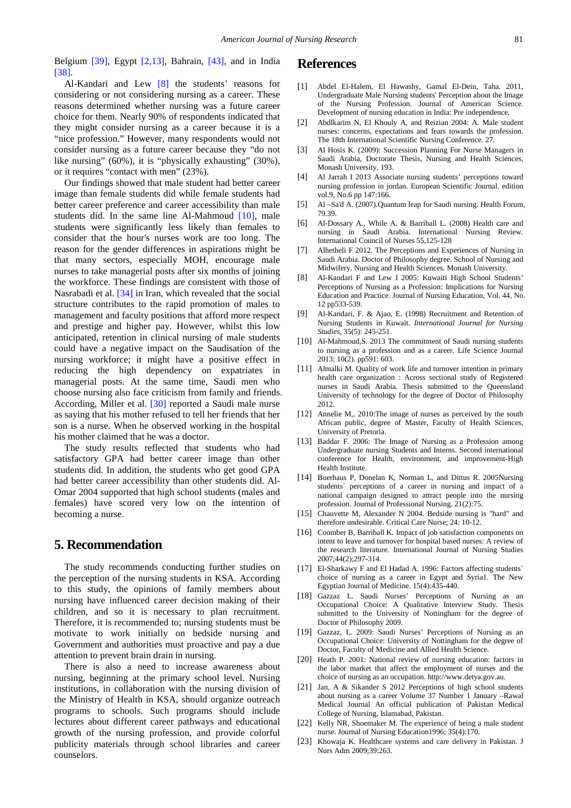Belgium [\[39\],](#page-8-12) Egypt [\[2,13\],](#page-7-9) Bahrain, [\[43\],](#page-8-9) and in India [\[38\].](#page-8-14)

Al-Kandari and Lew [\[8\]](#page-7-16) the students' reasons for considering or not considering nursing as a career. These reasons determined whether nursing was a future career choice for them. Nearly 90% of respondents indicated that they might consider nursing as a career because it is a "nice profession." However, many respondents would not consider nursing as a future career because they "do not like nursing" (60%), it is "physically exhausting" (30%), or it requires "contact with men" (23%).

Our findings showed that male student had better career image than female students did while female students had better career preference and career accessibility than male students did. In the same line Al-Mahmoud [\[10\],](#page-7-13) male students were significantly less likely than females to consider that the hour's nurses work are too long. The reason for the gender differences in aspirations might be that many sectors, especially MOH, encourage male nurses to take managerial posts after six months of joining the workforce. These findings are consistent with those of Nasrabadi et al. [\[34\]](#page-8-15) in Iran, which revealed that the social structure contributes to the rapid promotion of males to management and faculty positions that afford more respect and prestige and higher pay. However, whilst this low anticipated, retention in clinical nursing of male students could have a negative impact on the Saudisation of the nursing workforce; it might have a positive effect in reducing the high dependency on expatriates in managerial posts. At the same time, Saudi men who choose nursing also face criticism from family and friends. According, Miller et al. [\[30\]](#page-8-16) reported a Saudi male nurse as saying that his mother refused to tell her friends that her son is a nurse. When he observed working in the hospital his mother claimed that he was a doctor.

The study results reflected that students who had satisfactory GPA had better career image than other students did. In addition, the students who get good GPA had better career accessibility than other students did. Al-Omar 2004 supported that high school students (males and females) have scored very low on the intention of becoming a nurse.

# **5. Recommendation**

The study recommends conducting further studies on the perception of the nursing students in KSA. According to this study, the opinions of family members about nursing have influenced career decision making of their children, and so it is necessary to plan recruitment. Therefore, it is recommended to; nursing students must be motivate to work initially on bedside nursing and Government and authorities must proactive and pay a due attention to prevent brain drain in nursing.

There is also a need to increase awareness about nursing, beginning at the primary school level. Nursing institutions, in collaboration with the nursing division of the Ministry of Health in KSA, should organize outreach programs to schools. Such programs should include lectures about different career pathways and educational growth of the nursing profession, and provide colorful publicity materials through school libraries and career counselors.

### **References**

- <span id="page-7-21"></span>[1] Abdel El-Halem, El Hawashy, Gamal El-Dein, Taha. 2011, Undergraduate Male Nursing students' Perception about the Image of the Nursing Profession. Journal of American Science. Development of nursing education in India: Pre independence.
- <span id="page-7-9"></span>[2] Abdlkarim N, El Khouly A, and Reizian 2004: A. Male student nurses: concerns, expectations and fears towards the profession. The 18th International Scientific Nursing Conference. 27.
- <span id="page-7-3"></span>[3] Al Hosis K. (2009): Succession Planning For Nurse Managers in Saudi Arabia, Doctorate Thesis, Nursing and Health Sciences, Monash University, 193.
- <span id="page-7-5"></span>[4] Al Jarrah I 2013 Associate nursing students' perceptions toward nursing profession in jordan. European Scientific Journal. edition vol.9, No.6 pp 147:166.
- <span id="page-7-17"></span>[5] Al –Sa'd A. (2007).Quantum leap for Saudi nursing. Health Forum, 79.39.
- <span id="page-7-0"></span>[6] Al-Dossary A., While A. & Barriball L. (2008) Health care and nursing in Saudi Arabia. International Nursing Review. International Council of Nurses 55,125-128
- <span id="page-7-1"></span>[7] Alhetheli F 2012. The Perceptions and Experiences of Nursing in Saudi Arabia. Doctor of Philosophy degree. School of Nursing and Midwifery. Nursing and Health Sciences. Monash University.
- <span id="page-7-16"></span>[8] Al-Kandari F and Lew I 2005: Kuwaiti High School Students' Perceptions of Nursing as a Profession: Implications for Nursing Education and Practice. Journal of Nursing Education, Vol. 44, No. 12 pp533-539.
- <span id="page-7-14"></span>[9] Al-Kandari, F. & Ajao, E. (1998) Recruitment and Retention of Nursing Students in Kuwait. *International Journal for Nursing Studies*, 35(5): 245-251.
- <span id="page-7-13"></span>[10] Al-Mahmoud, S. 2013 The commitment of Saudi nursing students to nursing as a profession and as a career. Life Science Journal 2013; 10(2). pp591: 603.
- <span id="page-7-15"></span>[11] Almalki M. Quality of work life and turnover intention in primary health care organization : Across sectional study of Registered nurses in Saudi Arabia. Thesis submitted to the Queensland University of technology for the degree of Doctor of Philosophy 2012.
- <span id="page-7-4"></span>[12] Annelie M,. 2010: The image of nurses as perceived by the south African public, degree of Master, Faculty of Health Sciences, University of Pretoria.
- [13] Baddar F. 2006: The Image of Nursing as a Profession among Undergraduate nursing Students and Interns. Second international conference for Health, environment, and improvement-High Health Institute.
- <span id="page-7-10"></span>[14] Buerhaus P, Donelan K, Norman L, and Dittus R. 2005Nursing students` perceptions of a career in nursing and impact of a national campaign designed to attract people into the nursing profession. Journal of Professional Nursing. 21(2):75.
- <span id="page-7-11"></span>[15] Chauvette M, Alexander N 2004. Bedside nursing is "hard" and therefore undesirable. Critical Care Nurse; 24: 10-12.
- <span id="page-7-12"></span>[16] Coomber B, Barriball K. Impact of job satisfaction components on intent to leave and turnover for hospital based nurses: A review of the research literature. International Journal of Nursing Studies 2007;44(2);297-314.
- <span id="page-7-18"></span>[17] El-Sharkawy F and El Hadad A. 1996: Factors affecting students` choice of nursing as a career in Egypt and Syria1. The New Egyptian Journal of Medicine. 15(4):435-440.
- <span id="page-7-6"></span>[18] Gazzaz L. Saudi Nurses' Perceptions of Nursing as an Occupational Choice: A Qualitative Interview Study. Thesis submitted to the University of Nottingham for the degree of Doctor of Philosophy 2009.
- <span id="page-7-2"></span>[19] Gazzaz, L. 2009: Saudi Nurses' Perceptions of Nursing as an Occupational Choice: University of Nottingham for the degree of Doctor, Faculty of Medicine and Allied Health Science.
- <span id="page-7-20"></span>[20] Heath P. 2001: National review of nursing education: factors in the labor market that affect the employment of nurses and the choice of nursing as an occupation. http://www.detya.gov.au.
- <span id="page-7-8"></span>[21] Jan, A & Sikander S 2012 Perceptions of high school students about nursing as a career Volume 37 Number 1 January –Rawal Medical Journal An official publication of Pakistan Medical College of Nursing, Islamabad, Pakistan.
- <span id="page-7-19"></span>[22] Kelly NR, Shoemaker M. The experience of being a male student nurse. Journal of Nursing Education1996; 35(4):170.
- <span id="page-7-7"></span>[23] Khowaja K. Healthcare systems and care delivery in Pakistan. J Nurs Adm 2009;39:263.